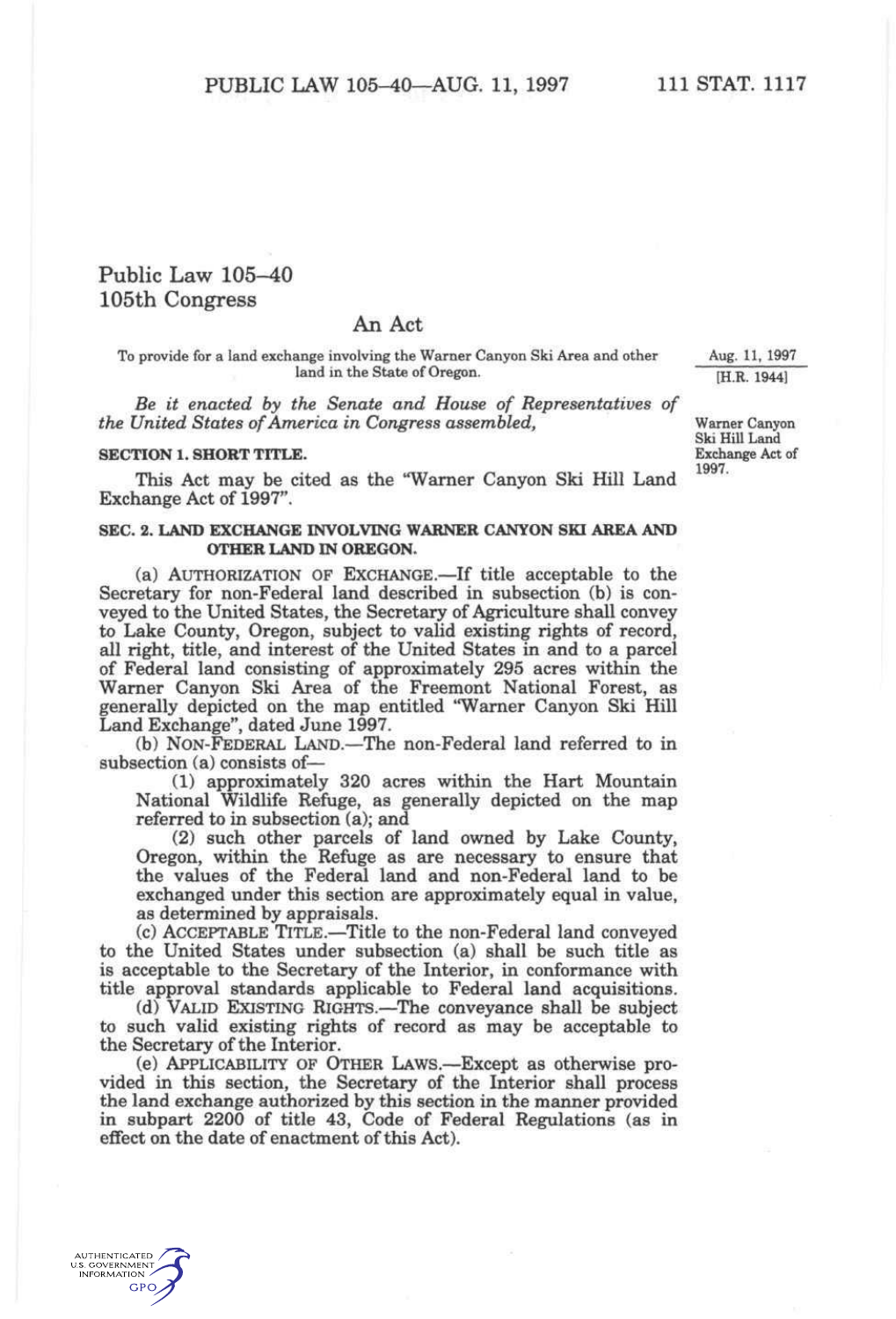## Public Law 105-40 105th Congress

## An Act

To provide for a land exchange involving the Warner Canyon Ski Area and other land in the State of Oregon.

*Be it enacted by the Senate and House of Representatives of the United States of America in Congress assembled,* 

## **SECTION 1. SHORT TITLE.**

This Act may be cited as the "Warner Canyon Ski Hill Land Exchange Act of 1997".

## **SEC. 2. LAND EXCHANGE INVOLVING WARNER CANYON SKI AREA AND OTHER LAND IN OREGON.**

(a) AUTHORIZATION OF EXCHANGE.—If title acceptable to the Secretary for non-Federal land described in subsection (b) is conveyed to the United States, the Secretary of Agriculture shall convey to Lake County, Oregon, subject to valid existing rights of record, all right, title, and interest of the United States in and to a parcel of Federal land consisting of approximately 295 acres within the Warner Canyon Ski Area of the Freemont National Forest, as generally depicted on the map entitled "Warner Canyon Ski Hill Land Exchange", dated June 1997.

(b) NON-FEDERAL LAND.—The non-Federal land referred to in subsection (a) consists of—

(1) approximately 320 acres within the Hart Mountain National Wildlife Refuge, as generally depicted on the map referred to in subsection (a); and

(2) such other parcels of land owned by Lake County, Oregon, within the Refuge as are necessary to ensure that the values of the Federal land and non-Federal land to be exchanged under this section are approximately equal in value, as determined by appraisals.

(c) ACCEPTABLE TITLE.—Title to the non-Federal land conveyed to the United States under subsection (a) shall be such title as is acceptable to the Secretary of the Interior, in conformance with title approval standards applicable to Federal land acquisitions.

(d) VALID EXISTING RIGHTS.—The conveyance shall be subject to such valid existing rights of record as may be acceptable to the Secretary of the Interior.

(e) APPLICABILITY OF OTHER LAWS.—Except as otherwise provided in this section, the Secretary of the Interior shall process the land exchange authorized by this section in the manner provided in subpart 2200 of title 43, Code of Federal Regulations (as in effect on the date of enactment of this Act).

Aug. 11. 1997 [H.R. 1944]

Warner Canyon Ski Hill Land Exchange Act of 1997.